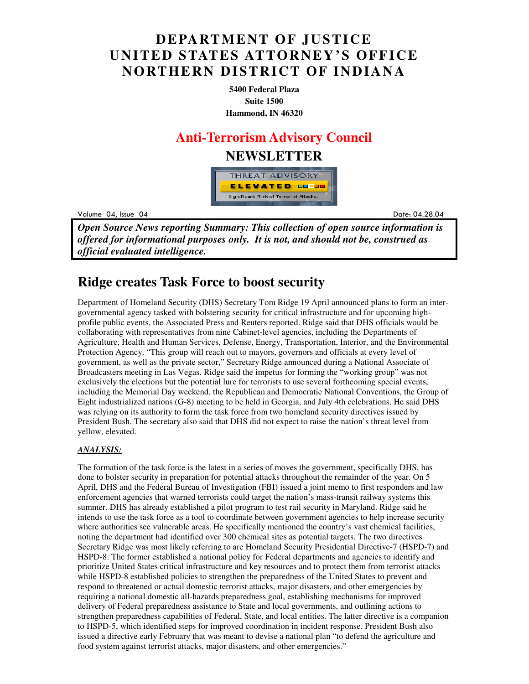### **DEPARTMENT OF JUSTICE UNITED STATES ATTORNEY'S OFFICE NORTHERN DISTRICT OF INDIANA**

**5400 Federal Plaza Suite 1500 Hammond, IN 46320**

#### **Anti-Terrorism Advisory Council**

#### **NEWSLETTER**



Volume 04, Issue 04

Date: 04 Date: 04.28.04

*Open Source News reporting Summary: This collection of open source information is offered for informational purposes only. It is not, and should not be, construed as official evaluated intelligence.*

### **Ridge creates Task Force to boost security**

Department of Homeland Security (DHS) Secretary Tom Ridge 19 April announced plans to form an intergovernmental agency tasked with bolstering security for critical infrastructure and for upcoming highprofile public events, the Associated Press and Reuters reported. Ridge said that DHS officials would be collaborating with representatives from nine Cabinet-level agencies, including the Departments of Agriculture, Health and Human Services, Defense, Energy, Transportation, Interior, and the Environmental Protection Agency. "This group will reach out to mayors, governors and officials at every level of government, as well as the private sector," Secretary Ridge announced during a National Associate of Broadcasters meeting in Las Vegas. Ridge said the impetus for forming the "working group" was not exclusively the elections but the potential lure for terrorists to use several forthcoming special events, including the Memorial Day weekend, the Republican and Democratic National Conventions, the Group of Eight industrialized nations (G-8) meeting to be held in Georgia, and July 4th celebrations. He said DHS was relying on its authority to form the task force from two homeland security directives issued by President Bush. The secretary also said that DHS did not expect to raise the nation's threat level from yellow, elevated.

#### *ANALYSIS:*

The formation of the task force is the latest in a series of moves the government, specifically DHS, has done to bolster security in preparation for potential attacks throughout the remainder of the year. On 5 April, DHS and the Federal Bureau of Investigation (FBI) issued a joint memo to first responders and law enforcement agencies that warned terrorists could target the nation's mass-transit railway systems this summer. DHS has already established a pilot program to test rail security in Maryland. Ridge said he intends to use the task force as a tool to coordinate between government agencies to help increase security where authorities see vulnerable areas. He specifically mentioned the country's vast chemical facilities, noting the department had identified over 300 chemical sites as potential targets. The two directives Secretary Ridge was most likely referring to are Homeland Security Presidential Directive-7 (HSPD-7) and HSPD-8. The former established a national policy for Federal departments and agencies to identify and prioritize United States critical infrastructure and key resources and to protect them from terrorist attacks while HSPD-8 established policies to strengthen the preparedness of the United States to prevent and respond to threatened or actual domestic terrorist attacks, major disasters, and other emergencies by requiring a national domestic all-hazards preparedness goal, establishing mechanisms for improved delivery of Federal preparedness assistance to State and local governments, and outlining actions to strengthen preparedness capabilities of Federal, State, and local entities. The latter directive is a companion to HSPD-5, which identified steps for improved coordination in incident response. President Bush also issued a directive early February that was meant to devise a national plan "to defend the agriculture and food system against terrorist attacks, major disasters, and other emergencies."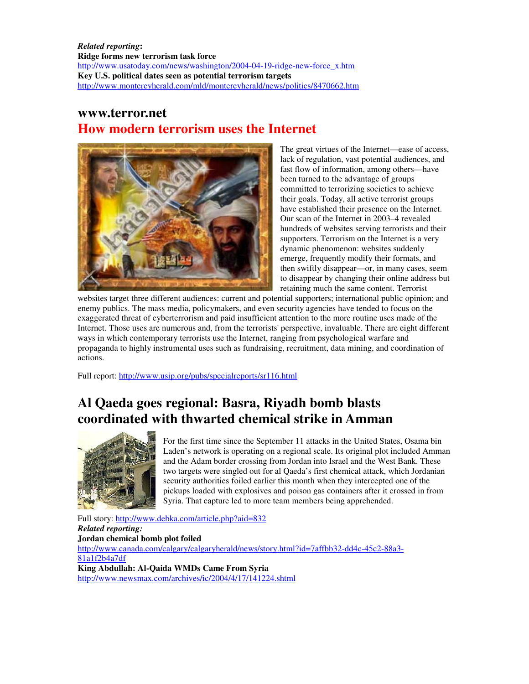*Related reporting***: Ridge forms new terrorism task force** http://www.usatoday.com/news/washington/2004-04-19-ridge-new-force\_x.htm **Key U.S. political dates seen as potential terrorism targets**  http://www.montereyherald.com/mld/montereyherald/news/politics/8470662.htm

#### **www.terror.net How modern terrorism uses the Internet**



The great virtues of the Internet—ease of access, lack of regulation, vast potential audiences, and fast flow of information, among others—have been turned to the advantage of groups committed to terrorizing societies to achieve their goals. Today, all active terrorist groups have established their presence on the Internet. Our scan of the Internet in 2003–4 revealed hundreds of websites serving terrorists and their supporters. Terrorism on the Internet is a very dynamic phenomenon: websites suddenly emerge, frequently modify their formats, and then swiftly disappear—or, in many cases, seem to disappear by changing their online address but retaining much the same content. Terrorist

websites target three different audiences: current and potential supporters; international public opinion; and enemy publics. The mass media, policymakers, and even security agencies have tended to focus on the exaggerated threat of cyberterrorism and paid insufficient attention to the more routine uses made of the Internet. Those uses are numerous and, from the terrorists' perspective, invaluable. There are eight different ways in which contemporary terrorists use the Internet, ranging from psychological warfare and propaganda to highly instrumental uses such as fundraising, recruitment, data mining, and coordination of actions.

Full report: http://www.usip.org/pubs/specialreports/sr116.html

## **Al Qaeda goes regional: Basra, Riyadh bomb blasts coordinated with thwarted chemical strike in Amman**



For the first time since the September 11 attacks in the United States, Osama bin Laden's network is operating on a regional scale. Its original plot included Amman and the Adam border crossing from Jordan into Israel and the West Bank. These two targets were singled out for al Qaeda's first chemical attack, which Jordanian security authorities foiled earlier this month when they intercepted one of the pickups loaded with explosives and poison gas containers after it crossed in from Syria. That capture led to more team members being apprehended.

Full story: http://www.debka.com/article.php?aid=832 *Related reporting:*  **Jordan chemical bomb plot foiled**  http://www.canada.com/calgary/calgaryherald/news/story.html?id=7affbb32-dd4c-45c2-88a3- 81a1f2b4a7df **King Abdullah: Al-Qaida WMDs Came From Syria**  http://www.newsmax.com/archives/ic/2004/4/17/141224.shtml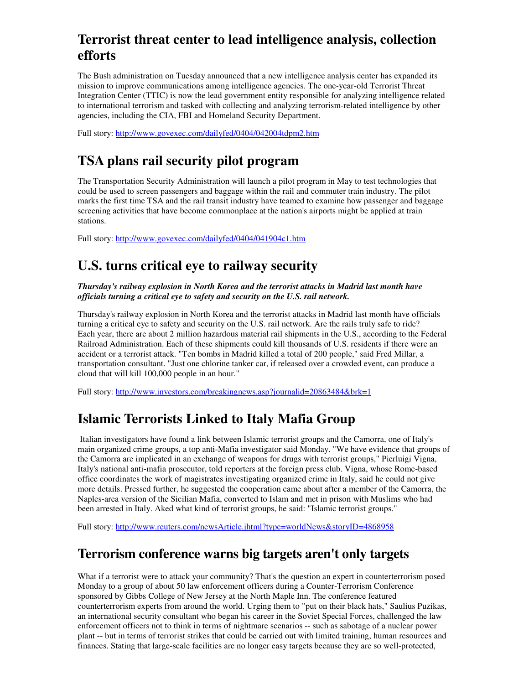## **Terrorist threat center to lead intelligence analysis, collection efforts**

The Bush administration on Tuesday announced that a new intelligence analysis center has expanded its mission to improve communications among intelligence agencies. The one-year-old Terrorist Threat Integration Center (TTIC) is now the lead government entity responsible for analyzing intelligence related to international terrorism and tasked with collecting and analyzing terrorism-related intelligence by other agencies, including the CIA, FBI and Homeland Security Department.

Full story: http://www.govexec.com/dailyfed/0404/042004tdpm2.htm

# **TSA plans rail security pilot program**

The Transportation Security Administration will launch a pilot program in May to test technologies that could be used to screen passengers and baggage within the rail and commuter train industry. The pilot marks the first time TSA and the rail transit industry have teamed to examine how passenger and baggage screening activities that have become commonplace at the nation's airports might be applied at train stations.

Full story: http://www.govexec.com/dailyfed/0404/041904c1.htm

## **U.S. turns critical eye to railway security**

*Thursday's railway explosion in North Korea and the terrorist attacks in Madrid last month have officials turning a critical eye to safety and security on the U.S. rail network.*

Thursday's railway explosion in North Korea and the terrorist attacks in Madrid last month have officials turning a critical eye to safety and security on the U.S. rail network. Are the rails truly safe to ride? Each year, there are about 2 million hazardous material rail shipments in the U.S., according to the Federal Railroad Administration. Each of these shipments could kill thousands of U.S. residents if there were an accident or a terrorist attack. "Ten bombs in Madrid killed a total of 200 people," said Fred Millar, a transportation consultant. "Just one chlorine tanker car, if released over a crowded event, can produce a cloud that will kill 100,000 people in an hour."

Full story: http://www.investors.com/breakingnews.asp?journalid=20863484&brk=1

## **Islamic Terrorists Linked to Italy Mafia Group**

 Italian investigators have found a link between Islamic terrorist groups and the Camorra, one of Italy's main organized crime groups, a top anti-Mafia investigator said Monday. "We have evidence that groups of the Camorra are implicated in an exchange of weapons for drugs with terrorist groups," Pierluigi Vigna, Italy's national anti-mafia prosecutor, told reporters at the foreign press club. Vigna, whose Rome-based office coordinates the work of magistrates investigating organized crime in Italy, said he could not give more details. Pressed further, he suggested the cooperation came about after a member of the Camorra, the Naples-area version of the Sicilian Mafia, converted to Islam and met in prison with Muslims who had been arrested in Italy. Aked what kind of terrorist groups, he said: "Islamic terrorist groups."

Full story: http://www.reuters.com/newsArticle.jhtml?type=worldNews&storyID=4868958

### **Terrorism conference warns big targets aren't only targets**

What if a terrorist were to attack your community? That's the question an expert in counterterrorism posed Monday to a group of about 50 law enforcement officers during a Counter-Terrorism Conference sponsored by Gibbs College of New Jersey at the North Maple Inn. The conference featured counterterrorism experts from around the world. Urging them to "put on their black hats," Saulius Puzikas, an international security consultant who began his career in the Soviet Special Forces, challenged the law enforcement officers not to think in terms of nightmare scenarios -- such as sabotage of a nuclear power plant -- but in terms of terrorist strikes that could be carried out with limited training, human resources and finances. Stating that large-scale facilities are no longer easy targets because they are so well-protected,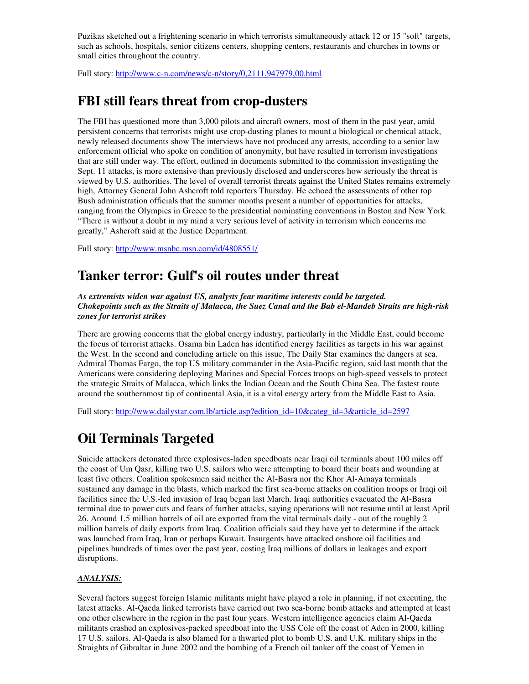Puzikas sketched out a frightening scenario in which terrorists simultaneously attack 12 or 15 "soft" targets, such as schools, hospitals, senior citizens centers, shopping centers, restaurants and churches in towns or small cities throughout the country.

Full story: http://www.c-n.com/news/c-n/story/0,2111,947979,00.html

## **FBI still fears threat from crop-dusters**

The FBI has questioned more than 3,000 pilots and aircraft owners, most of them in the past year, amid persistent concerns that terrorists might use crop-dusting planes to mount a biological or chemical attack, newly released documents show The interviews have not produced any arrests, according to a senior law enforcement official who spoke on condition of anonymity, but have resulted in terrorism investigations that are still under way. The effort, outlined in documents submitted to the commission investigating the Sept. 11 attacks, is more extensive than previously disclosed and underscores how seriously the threat is viewed by U.S. authorities. The level of overall terrorist threats against the United States remains extremely high, Attorney General John Ashcroft told reporters Thursday. He echoed the assessments of other top Bush administration officials that the summer months present a number of opportunities for attacks, ranging from the Olympics in Greece to the presidential nominating conventions in Boston and New York. "There is without a doubt in my mind a very serious level of activity in terrorism which concerns me greatly," Ashcroft said at the Justice Department.

Full story: http://www.msnbc.msn.com/id/4808551/

#### **Tanker terror: Gulf's oil routes under threat**

*As extremists widen war against US, analysts fear maritime interests could be targeted. Chokepoints such as the Straits of Malacca, the Suez Canal and the Bab el-Mandeb Straits are high-risk zones for terrorist strikes* 

There are growing concerns that the global energy industry, particularly in the Middle East, could become the focus of terrorist attacks. Osama bin Laden has identified energy facilities as targets in his war against the West. In the second and concluding article on this issue, The Daily Star examines the dangers at sea. Admiral Thomas Fargo, the top US military commander in the Asia-Pacific region, said last month that the Americans were considering deploying Marines and Special Forces troops on high-speed vessels to protect the strategic Straits of Malacca, which links the Indian Ocean and the South China Sea. The fastest route around the southernmost tip of continental Asia, it is a vital energy artery from the Middle East to Asia.

Full story: http://www.dailystar.com.lb/article.asp?edition\_id=10&categ\_id=3&article\_id=2597

## **Oil Terminals Targeted**

Suicide attackers detonated three explosives-laden speedboats near Iraqi oil terminals about 100 miles off the coast of Um Qasr, killing two U.S. sailors who were attempting to board their boats and wounding at least five others. Coalition spokesmen said neither the Al-Basra nor the Khor Al-Amaya terminals sustained any damage in the blasts, which marked the first sea-borne attacks on coalition troops or Iraqi oil facilities since the U.S.-led invasion of Iraq began last March. Iraqi authorities evacuated the Al-Basra terminal due to power cuts and fears of further attacks, saying operations will not resume until at least April 26. Around 1.5 million barrels of oil are exported from the vital terminals daily - out of the roughly 2 million barrels of daily exports from Iraq. Coalition officials said they have yet to determine if the attack was launched from Iraq, Iran or perhaps Kuwait. Insurgents have attacked onshore oil facilities and pipelines hundreds of times over the past year, costing Iraq millions of dollars in leakages and export disruptions.

#### *ANALYSIS:*

Several factors suggest foreign Islamic militants might have played a role in planning, if not executing, the latest attacks. Al-Qaeda linked terrorists have carried out two sea-borne bomb attacks and attempted at least one other elsewhere in the region in the past four years. Western intelligence agencies claim Al-Qaeda militants crashed an explosives-packed speedboat into the USS Cole off the coast of Aden in 2000, killing 17 U.S. sailors. Al-Qaeda is also blamed for a thwarted plot to bomb U.S. and U.K. military ships in the Straights of Gibraltar in June 2002 and the bombing of a French oil tanker off the coast of Yemen in